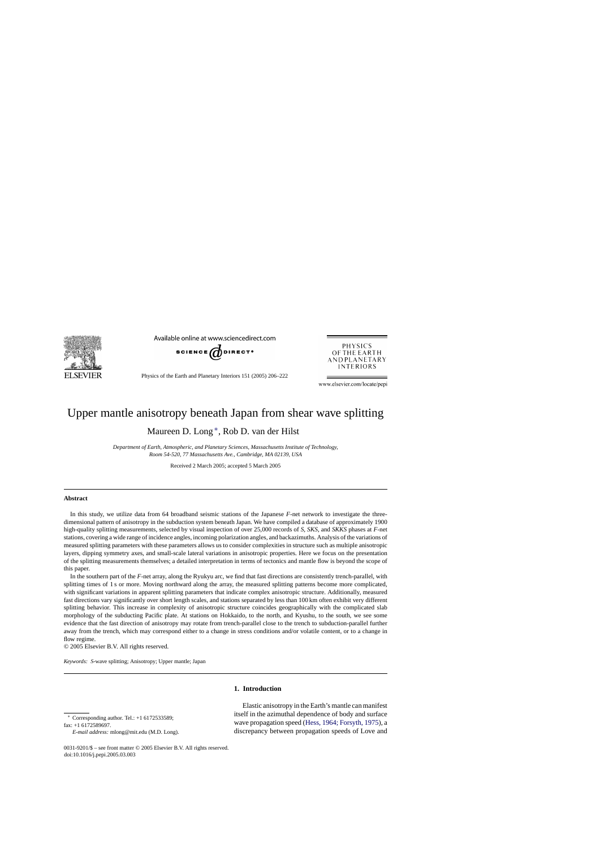

Available online at www.sciencedirect.com



Physics of the Earth and Planetary Interiors 151 (2005) 206–222



www.elsevier.com/locate/pepi

# Upper mantle anisotropy beneath Japan from shear wave splitting

Maureen D. Long ∗, Rob D. van der Hilst

*Department of Earth, Atmospheric, and Planetary Sciences, Massachusetts Institute of Technology, Room 54-520, 77 Massachusetts Ave., Cambridge, MA 02139, USA*

Received 2 March 2005; accepted 5 March 2005

#### **Abstract**

In this study, we utilize data from 64 broadband seismic stations of the Japanese *F*-net network to investigate the threedimensional pattern of anisotropy in the subduction system beneath Japan. We have compiled a database of approximately 1900 high-quality splitting measurements, selected by visual inspection of over 25,000 records of *S*, *SKS*, and *SKKS* phases at *F*-net stations, covering a wide range of incidence angles, incoming polarization angles, and backazimuths. Analysis of the variations of measured splitting parameters with these parameters allows us to consider complexities in structure such as multiple anisotropic layers, dipping symmetry axes, and small-scale lateral variations in anisotropic properties. Here we focus on the presentation of the splitting measurements themselves; a detailed interpretation in terms of tectonics and mantle flow is beyond the scope of this paper.

In the southern part of the *F*-net array, along the Ryukyu arc, we find that fast directions are consistently trench-parallel, with splitting times of 1 s or more. Moving northward along the array, the measured splitting patterns become more complicated, with significant variations in apparent splitting parameters that indicate complex anisotropic structure. Additionally, measured fast directions vary significantly over short length scales, and stations separated by less than 100 km often exhibit very different splitting behavior. This increase in complexity of anisotropic structure coincides geographically with the complicated slab morphology of the subducting Pacific plate. At stations on Hokkaido, to the north, and Kyushu, to the south, we see some evidence that the fast direction of anisotropy may rotate from trench-parallel close to the trench to subduction-parallel further away from the trench, which may correspond either to a change in stress conditions and/or volatile content, or to a change in flow regime.

© 2005 Elsevier B.V. All rights reserved.

*Keywords: S*-wave splitting; Anisotropy; Upper mantle; Japan

# **1. Introduction**

∗ Corresponding author. Tel.: +1 6172533589; fax: +1 6172589697.

*E-mail address:* mlong@mit.edu (M.D. Long).

Elastic anisotropy in the Earth's mantle can manifest itself in the azimuthal dependence of body and surface wave propagation speed (Hess*,* [1964; Forsyth, 1975\),](#page-15-0) a discrepancy between propagation speeds of Love and

<sup>0031-9201/\$ –</sup> see front matter © 2005 Elsevier B.V. All rights reserved. doi:10.1016/j.pepi.2005.03.003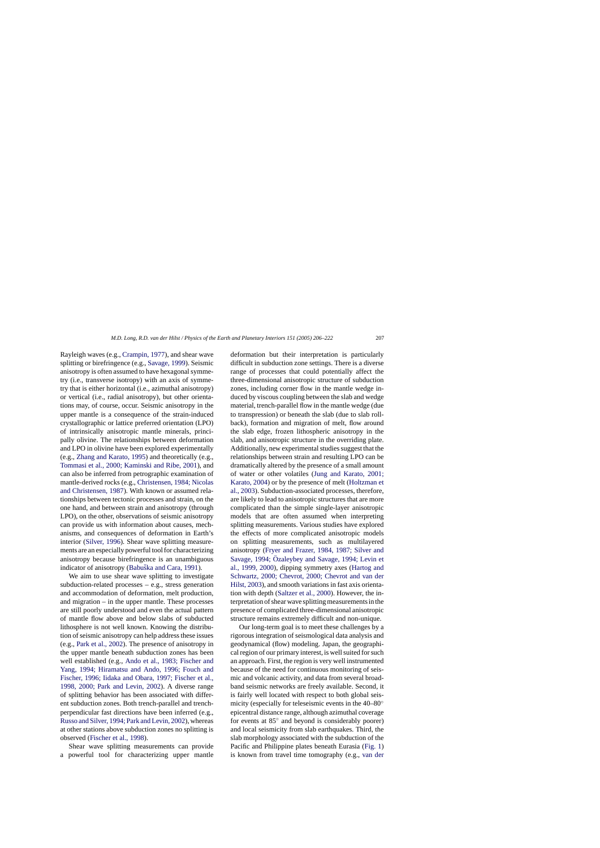Rayleigh waves (e.g., [Crampin, 1977\),](#page-15-0) and shear wave splitting or birefringence (e.g., [Savage, 1999\).](#page-16-0) Seismic anisotropy is often assumed to have hexagonal symmetry (i.e., transverse isotropy) with an axis of symmetry that is either horizontal (i.e., azimuthal anisotropy) or vertical (i.e., radial anisotropy), but other orientations may, of course, occur. Seismic anisotropy in the upper mantle is a consequence of the strain-induced crystallographic or lattice preferred orientation (LPO) of intrinsically anisotropic mantle minerals, principally olivine. The relationships between deformation and LPO in olivine have been explored experimentally (e.g., [Zhang and Karato, 1995\)](#page-16-0) and theoretically (e.g., [Tommasi et al., 2000; Kaminski and Ribe, 2001\)](#page-16-0), and can also be inferred from petrographic examination of mantle-derived rocks (e.g., [Christensen, 1984; Nicolas](#page-15-0) [and Christensen, 1987\).](#page-15-0) With known or assumed relationships between tectonic processes and strain, on the one hand, and between strain and anisotropy (through LPO), on the other, observations of seismic anisotropy can provide us with information about causes, mechanisms, and consequences of deformation in Earth's interior [\(Silver, 1996\).](#page-16-0) Shear wave splitting measurements are an especially powerful tool for characterizing anisotropy because birefringence is an unambiguous indicator of anisotropy (Babuška and Cara, 1991).

We aim to use shear wave splitting to investigate subduction-related processes – e.g., stress generation and accommodation of deformation, melt production, and migration – in the upper mantle. These processes are still poorly understood and even the actual pattern of mantle flow above and below slabs of subducted lithosphere is not well known. Knowing the distribution of seismic anisotropy can help address these issues (e.g., [Park et al., 2002\).](#page-16-0) The presence of anisotropy in the upper mantle beneath subduction zones has been well established (e.g., [Ando et al., 1983; Fischer and](#page-15-0) [Yang, 1994; Hiramatsu and Ando, 1996; Fouch and](#page-15-0) [Fischer, 1996; Iidaka and Obara, 1997; Fischer et al.,](#page-15-0) [1998, 2000; Park and Levin, 2002](#page-15-0)). A diverse range of splitting behavior has been associated with different subduction zones. Both trench-parallel and trenchperpendicular fast directions have been inferred (e.g., [Russo and Silver, 1994; Park and Levin, 2002\), w](#page-16-0)hereas at other stations above subduction zones no splitting is observed [\(Fischer et al., 1998\).](#page-15-0)

Shear wave splitting measurements can provide a powerful tool for characterizing upper mantle

deformation but their interpretation is particularly difficult in subduction zone settings. There is a diverse range of processes that could potentially affect the three-dimensional anisotropic structure of subduction zones, including corner flow in the mantle wedge induced by viscous coupling between the slab and wedge material, trench-parallel flow in the mantle wedge (due to transpression) or beneath the slab (due to slab rollback), formation and migration of melt, flow around the slab edge, frozen lithospheric anisotropy in the slab, and anisotropic structure in the overriding plate. Additionally, new experimental studies suggest that the relationships between strain and resulting LPO can be dramatically altered by the presence of a small amount of water or other volatiles ([Jung and Karato, 2001;](#page-15-0) [Karato, 2004\)](#page-15-0) or by the presence of melt [\(Holtzman et](#page-15-0) [al., 2003\).](#page-15-0) Subduction-associated processes, therefore, are likely to lead to anisotropic structures that are more complicated than the simple single-layer anisotropic models that are often assumed when interpreting splitting measurements. Various studies have explored the effects of more complicated anisotropic models on splitting measurements, such as multilayered anisotropy [\(Fryer and Frazer, 1984, 1987; Silver and](#page-15-0) Savage, 1994; Özaleybey and Savage, 1994; Levin et [al., 1999, 2000\),](#page-15-0) dipping symmetry axes ([Hartog and](#page-15-0) [Schwartz, 2000; Chevrot, 2000; Chevrot and van der](#page-15-0) [Hilst, 2003\),](#page-15-0) and smooth variations in fast axis orientation with depth ([Saltzer et al., 2000\).](#page-16-0) However, the interpretation of shear wave splitting measurements in the presence of complicated three-dimensional anisotropic structure remains extremely difficult and non-unique.

Our long-term goal is to meet these challenges by a rigorous integration of seismological data analysis and geodynamical (flow) modeling. Japan, the geographical region of our primary interest, is well suited for such an approach. First, the region is very well instrumented because of the need for continuous monitoring of seismic and volcanic activity, and data from several broadband seismic networks are freely available. Second, it is fairly well located with respect to both global seismicity (especially for teleseismic events in the 40–80◦ epicentral distance range, although azimuthal coverage for events at 85◦ and beyond is considerably poorer) and local seismicity from slab earthquakes. Third, the slab morphology associated with the subduction of the Pacific and Philippine plates beneath Eurasia ([Fig. 1\)](#page-2-0) is known from travel time tomography (e.g., [van der](#page-16-0)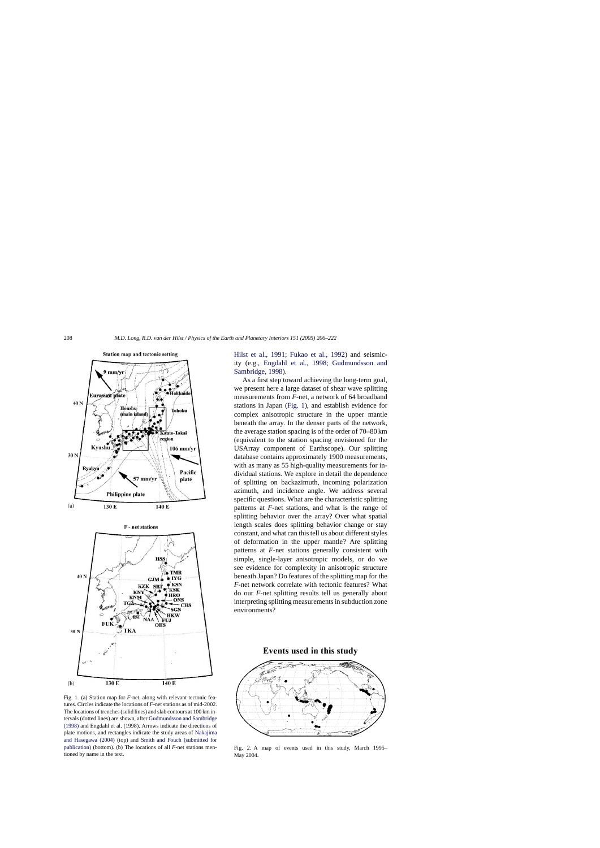<span id="page-2-0"></span>

Fig. 1. (a) Station map for *F*-net, along with relevant tectonic features. Circles indicate the locations of *F*-net stations as of mid-2002. The locations of trenches (solid lines) and slab contours at 100 km intervals (dotted lines) are shown, after [Gudmundsson and Sambridge](#page-15-0) [\(1998\)](#page-15-0) and Engdahl et al. (1998). Arrows indicate the directions of plate motions, and rectangles indicate the study areas of [Nakajima](#page-16-0) [and Hasegawa \(2004\)](#page-16-0) (top) and [Smith and Fouch \(submitted for](#page-16-0) [publication\)](#page-16-0) (bottom). (b) The locations of all *F*-net stations mentioned by name in the text.

[Hilst et al., 1991; Fukao et al., 199](#page-16-0)2) and seismicity (e.g., [Engdahl et al., 1998; Gudmundsson an](#page-15-0)d [Sambridge, 1998\).](#page-15-0)

As a first step toward achieving the long-term goal, we present here a large dataset of shear wave splitting measurements from *F*-net, a network of 64 broadband stations in Japan (Fig. 1), and establish evidence for complex anisotropic structure in the upper mantle beneath the array. In the denser parts of the network, the average station spacing is of the order of 70–80 km (equivalent to the station spacing envisioned for the USArray component of Earthscope). Our splitting database contains approximately 1900 measurements, with as many as 55 high-quality measurements for individual stations. We explore in detail the dependence of splitting on backazimuth, incoming polarization azimuth, and incidence angle. We address several specific questions. What are the characteristic splitting patterns at *F*-net stations, and what is the range of splitting behavior over the array? Over what spatial length scales does splitting behavior change or stay constant, and what can this tell us about different styles of deformation in the upper mantle? Are splitting patterns at *F*-net stations generally consistent with simple, single-layer anisotropic models, or do we see evidence for complexity in anisotropic structure beneath Japan? Do features of the splitting map for the *F*-net network correlate with tectonic features? What do our *F*-net splitting results tell us generally about interpreting splitting measurements in subduction zone environments?



Fig. 2. A map of events used in this study, March 1995– May 2004.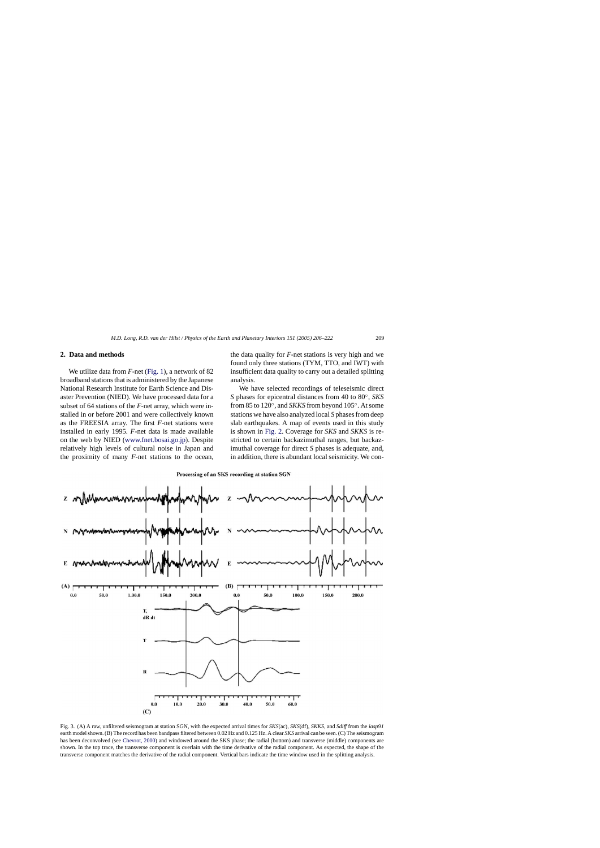### <span id="page-3-0"></span>**2. Data and methods**

We utilize data from *F*-net ([Fig. 1\),](#page-2-0) a network of 82 broadband stations that is administered by the Japanese National Research Institute for Earth Science and Disaster Prevention (NIED). We have processed data for a subset of 64 stations of the *F*-net array, which were installed in or before 2001 and were collectively known as the FREESIA array. The first *F*-net stations were installed in early 1995. *F*-net data is made available on the web by NIED [\(www.fnet.bosai.go.jp\)](http://www.fnet.bosai.go.jp/). Despite relatively high levels of cultural noise in Japan and the proximity of many *F*-net stations to the ocean,

the data quality for *F*-net stations is very high and we found only three stations (TYM, TTO, and IWT) with insufficient data quality to carry out a detailed splitting analysis.

We have selected recordings of teleseismic direct *S* phases for epicentral distances from 40 to 80◦, *SKS* from 85 to 120◦, and *SKKS* from beyond 105◦. At some stations we have also analyzed local *S* phases from deep slab earthquakes. A map of events used in this study is shown in [Fig. 2.](#page-2-0) Coverage for *SKS* and *SKKS* is restricted to certain backazimuthal ranges, but backazimuthal coverage for direct *S* phases is adequate, and, in addition, there is abundant local seismicity. We con-

Processing of an SKS recording at station SGN



Fig. 3. (A) A raw, unfiltered seismogram at station SGN, with the expected arrival times for *SKS*(ac), *SKS*(df), *SKKS*, and *Sdiff* from the *iasp91* earth model shown. (B) The record has been bandpass filtered between 0.02 Hz and 0.125 Hz. A clear *SKS* arrival can be seen. (C) The seismogram has been deconvolved (see [Chevrot, 2000\) a](#page-15-0)nd windowed around the SKS phase; the radial (bottom) and transverse (middle) components are shown. In the top trace, the transverse component is overlain with the time derivative of the radial component. As expected, the shape of the transverse component matches the derivative of the radial component. Vertical bars indicate the time window used in the splitting analysis.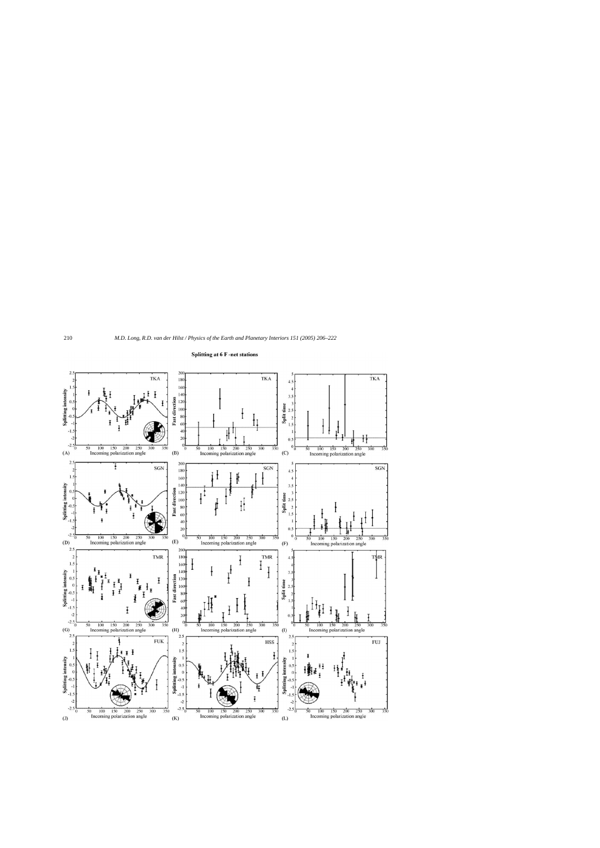<span id="page-4-0"></span>

#### **Splitting at 6 F-net stations**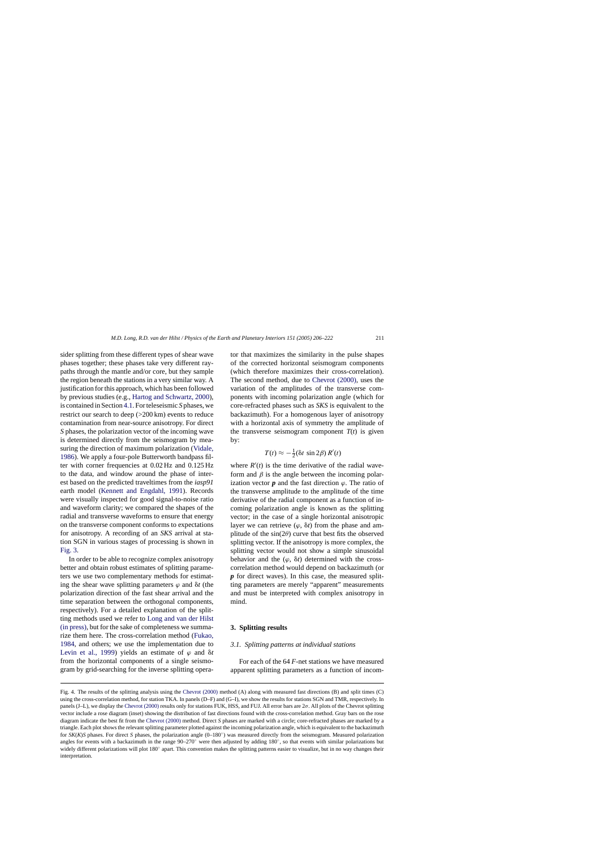sider splitting from these different types of shear wave phases together; these phases take very different raypaths through the mantle and/or core, but they sample the region beneath the stations in a very similar way. A justification for this approach, which has been followed by previous studies (e.g., [Hartog and Schwartz, 2000\),](#page-15-0) is contained in Section [4.1. F](#page-7-0)or teleseismic *S* phases, we restrict our search to deep (>200 km) events to reduce contamination from near-source anisotropy. For direct *S* phases, the polarization vector of the incoming wave is determined directly from the seismogram by measuring the direction of maximum polarization [\(Vidale,](#page-16-0) [1986\).](#page-16-0) We apply a four-pole Butterworth bandpass filter with corner frequencies at 0.02 Hz and 0.125 Hz to the data, and window around the phase of interest based on the predicted traveltimes from the *iasp91* earth model ([Kennett and Engdahl, 1991](#page-15-0)). Records were visually inspected for good signal-to-noise ratio and waveform clarity; we compared the shapes of the radial and transverse waveforms to ensure that energy on the transverse component conforms to expectations for anisotropy. A recording of an *SKS* arrival at station SGN in various stages of processing is shown in [Fig. 3.](#page-3-0)

In order to be able to recognize complex anisotropy better and obtain robust estimates of splitting parameters we use two complementary methods for estimating the shear wave splitting parameters  $\varphi$  and  $\delta t$  (the polarization direction of the fast shear arrival and the time separation between the orthogonal components, respectively). For a detailed explanation of the splitting methods used we refer to [Long and van der Hilst](#page-15-0) [\(in press\), b](#page-15-0)ut for the sake of completeness we summarize them here. The cross-correlation method [\(Fukao,](#page-15-0) [1984,](#page-15-0) and others; we use the implementation due to [Levin et al., 1999](#page-15-0)) yields an estimate of  $\varphi$  and  $\delta t$ from the horizontal components of a single seismogram by grid-searching for the inverse splitting operator that maximizes the similarity in the pulse shapes of the corrected horizontal seismogram components (which therefore maximizes their cross-correlation). The second method, due to [Chevrot \(2000\),](#page-15-0) uses the variation of the amplitudes of the transverse components with incoming polarization angle (which for core-refracted phases such as *SKS* is equivalent to the backazimuth). For a homogenous layer of anisotropy with a horizontal axis of symmetry the amplitude of the transverse seismogram component  $T(t)$  is given by:

$$
T(t) \approx -\frac{1}{2} (\delta t \, \sin 2\beta) \, R'(t)
$$

where  $R'(t)$  is the time derivative of the radial waveform and  $\beta$  is the angle between the incoming polarization vector  $p$  and the fast direction  $\varphi$ . The ratio of the transverse amplitude to the amplitude of the time derivative of the radial component as a function of incoming polarization angle is known as the splitting vector; in the case of a single horizontal anisotropic layer we can retrieve  $(\varphi, \delta t)$  from the phase and amplitude of the  $sin(2\theta)$  curve that best fits the observed splitting vector. If the anisotropy is more complex, the splitting vector would not show a simple sinusoidal behavior and the  $(\varphi, \delta t)$  determined with the crosscorrelation method would depend on backazimuth (or *p* for direct waves). In this case, the measured splitting parameters are merely "apparent" measurements and must be interpreted with complex anisotropy in mind.

### **3. Splitting results**

# *3.1. Splitting patterns at individual stations*

For each of the 64 *F*-net stations we have measured apparent splitting parameters as a function of incom-

Fig. 4. The results of the splitting analysis using the [Chevrot \(2000\)](#page-15-0) method (A) along with measured fast directions (B) and split times (C) using the cross-correlation method, for station TKA. In panels (D–F) and (G–I), we show the results for stations SGN and TMR, respectively. In panels (J–L), we display the [Chevrot \(2000\)](#page-15-0) results only for stations FUK, HSS, and FUJ. All error bars are  $2\sigma$ . All plots of the Chevrot splitting vector include a rose diagram (inset) showing the distribution of fast directions found with the cross-correlation method. Gray bars on the rose diagram indicate the best fit from the [Chevrot \(2000\)](#page-15-0) method. Direct *S* phases are marked with a circle; core-refracted phases are marked by a triangle. Each plot shows the relevant splitting parameter plotted against the incoming polarization angle, which is equivalent to the backazimuth for *SK*(*K*)*S* phases. For direct *S* phases, the polarization angle (0–180°) was measured directly from the seismogram. Measured polarization angles for events with a backazimuth in the range 90–270◦ were then adjusted by adding 180◦, so that events with similar polarizations but widely different polarizations will plot 180° apart. This convention makes the splitting patterns easier to visualize, but in no way changes their interpretation.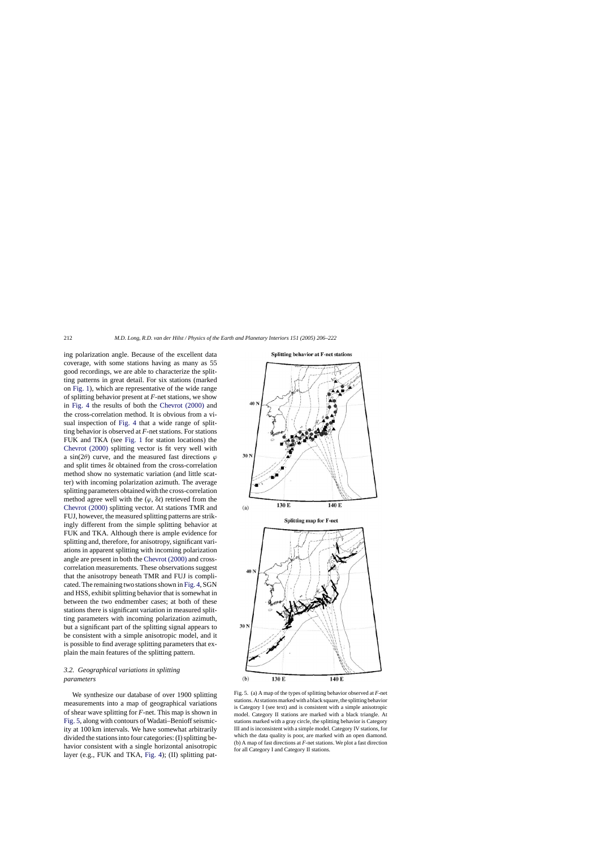<span id="page-6-0"></span>ing polarization angle. Because of the excellent data coverage, with some stations having as many as 55 good recordings, we are able to characterize the splitting patterns in great detail. For six stations (marked on [Fig. 1\),](#page-2-0) which are representative of the wide range of splitting behavior present at *F*-net stations, we show in [Fig. 4](#page-4-0) the results of both the [Chevrot \(2000\)](#page-15-0) and the cross-correlation method. It is obvious from a visual inspection of [Fig. 4](#page-4-0) that a wide range of splitting behavior is observed at *F*-net stations. For stations FUK and TKA (see [Fig. 1](#page-2-0) for station locations) the [Chevrot \(2000\)](#page-15-0) splitting vector is fit very well with a sin(2 $\theta$ ) curve, and the measured fast directions  $\varphi$ and split times  $\delta t$  obtained from the cross-correlation method show no systematic variation (and little scatter) with incoming polarization azimuth. The average splitting parameters obtained with the cross-correlation method agree well with the  $(\varphi, \delta t)$  retrieved from the [Chevrot \(2000\)](#page-15-0) splitting vector. At stations TMR and FUJ, however, the measured splitting patterns are strikingly different from the simple splitting behavior at FUK and TKA. Although there is ample evidence for splitting and, therefore, for anisotropy, significant variations in apparent splitting with incoming polarization angle are present in both the [Chevrot \(2000\)](#page-15-0) and crosscorrelation measurements. These observations suggest that the anisotropy beneath TMR and FUJ is complicated. The remaining two stations shown in [Fig. 4, S](#page-4-0)GN and HSS, exhibit splitting behavior that is somewhat in between the two endmember cases; at both of these stations there is significant variation in measured splitting parameters with incoming polarization azimuth, but a significant part of the splitting signal appears to be consistent with a simple anisotropic model, and it is possible to find average splitting parameters that explain the main features of the splitting pattern.

# *3.2. Geographical variations in splitting parameters*

We synthesize our database of over 1900 splitting measurements into a map of geographical variations of shear wave splitting for *F*-net. This map is shown in Fig. 5, along with contours of Wadati–Benioff seismicity at 100 km intervals. We have somewhat arbitrarily divided the stations into four categories: (I) splitting behavior consistent with a single horizontal anisotropic layer (e.g., FUK and TKA, [Fig. 4\);](#page-4-0) (II) splitting pat-





Fig. 5. (a) A map of the types of splitting behavior observed at *F*-net stations. At stations marked with a black square, the splitting behavior is Category I (see text) and is consistent with a simple anisotropic model. Category II stations are marked with a black triangle. At stations marked with a gray circle, the splitting behavior is Category III and is inconsistent with a simple model. Category IV stations, for which the data quality is poor, are marked with an open diamond. (b) A map of fast directions at *F*-net stations. We plot a fast direction for all Category I and Category II stations.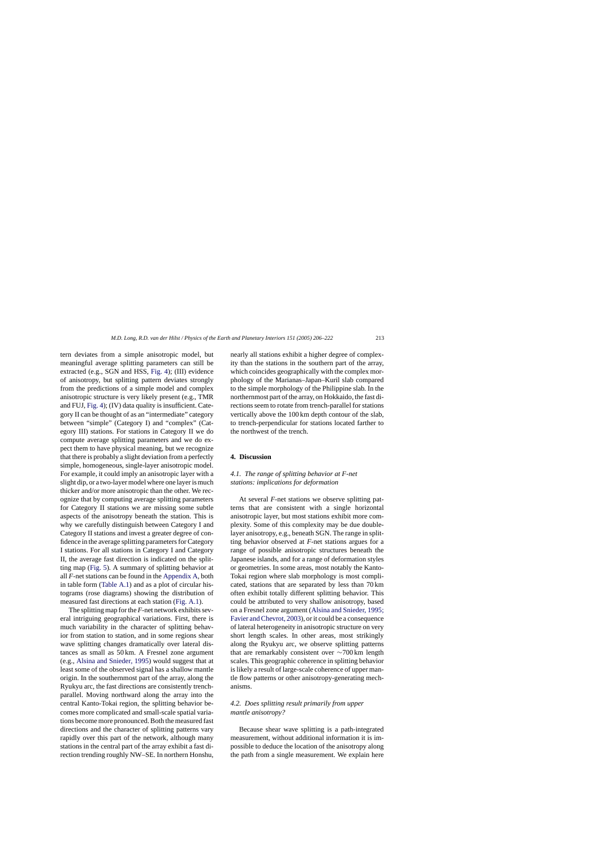<span id="page-7-0"></span>tern deviates from a simple anisotropic model, but meaningful average splitting parameters can still be extracted (e.g., SGN and HSS, [Fig. 4\);](#page-4-0) (III) evidence of anisotropy, but splitting pattern deviates strongly from the predictions of a simple model and complex anisotropic structure is very likely present (e.g., TMR and FUJ, [Fig. 4\);](#page-4-0) (IV) data quality is insufficient. Category II can be thought of as an "intermediate" category between "simple" (Category I) and "complex" (Cat-

egory III) stations. For stations in Category II we do compute average splitting parameters and we do expect them to have physical meaning, but we recognize that there is probably a slight deviation from a perfectly simple, homogeneous, single-layer anisotropic model. For example, it could imply an anisotropic layer with a slight dip, or a two-layer model where one layer is much thicker and/or more anisotropic than the other. We recognize that by computing average splitting parameters for Category II stations we are missing some subtle aspects of the anisotropy beneath the station. This is why we carefully distinguish between Category I and Category II stations and invest a greater degree of confidence in the average splitting parameters for Category I stations. For all stations in Category I and Category II, the average fast direction is indicated on the splitting map [\(Fig. 5\).](#page-6-0) A summary of splitting behavior at all *F*-net stations can be found in the [Appendix A, b](#page-14-0)oth in table form [\(Table A.1\)](#page-14-0) and as a plot of circular histograms (rose diagrams) showing the distribution of measured fast directions at each station ([Fig. A.1\).](#page-13-0)

The splitting map for the *F*-net network exhibits several intriguing geographical variations. First, there is much variability in the character of splitting behavior from station to station, and in some regions shear wave splitting changes dramatically over lateral distances as small as 50 km. A Fresnel zone argument (e.g., [Alsina and Snieder](#page-15-0)*,* 1995) would suggest that at least some of the observed signal has a shallow mantle origin. In the southernmost part of the array, along the Ryukyu arc, the fast directions are consistently trenchparallel. Moving northward along the array into the central Kanto-Tokai region, the splitting behavior becomes more complicated and small-scale spatial variations become more pronounced. Both the measured fast directions and the character of splitting patterns vary rapidly over this part of the network, although many stations in the central part of the array exhibit a fast direction trending roughly NW–SE. In northern Honshu, nearly all stations exhibit a higher degree of complexity than the stations in the southern part of the array, which coincides geographically with the complex morphology of the Marianas–Japan–Kuril slab compared to the simple morphology of the Philippine slab. In the northernmost part of the array, on Hokkaido, the fast directions seem to rotate from trench-parallel for stations vertically above the 100 km depth contour of the slab, to trench-perpendicular for stations located farther to the northwest of the trench.

#### **4. Discussion**

# *4.1. The range of splitting behavior at F-net stations: implications for deformation*

At several *F*-net stations we observe splitting patterns that are consistent with a single horizontal anisotropic layer, but most stations exhibit more complexity. Some of this complexity may be due doublelayer anisotropy, e.g., beneath SGN. The range in splitting behavior observed at *F*-net stations argues for a range of possible anisotropic structures beneath the Japanese islands, and for a range of deformation styles or geometries. In some areas, most notably the Kanto-Tokai region where slab morphology is most complicated, stations that are separated by less than 70 km often exhibit totally different splitting behavior. This could be attributed to very shallow anisotropy, based on a Fresnel zone argument [\(Alsina and Snieder, 1995;](#page-15-0) [Favier and Chevrot, 2003\), o](#page-15-0)r it could be a consequence of lateral heterogeneity in anisotropic structure on very short length scales. In other areas, most strikingly along the Ryukyu arc, we observe splitting patterns that are remarkably consistent over ∼700 km length scales. This geographic coherence in splitting behavior is likely a result of large-scale coherence of upper mantle flow patterns or other anisotropy-generating mechanisms.

# *4.2. Does splitting result primarily from upper mantle anisotropy?*

Because shear wave splitting is a path-integrated measurement, without additional information it is impossible to deduce the location of the anisotropy along the path from a single measurement. We explain here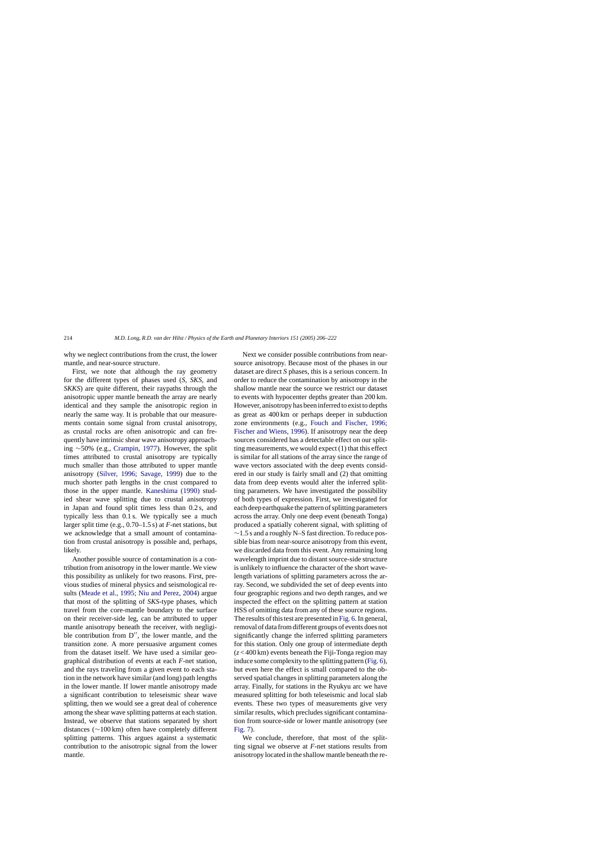why we neglect contributions from the crust, the lower mantle, and near-source structure.

First, we note that although the ray geometry for the different types of phases used (*S*, *SKS*, and *SKKS*) are quite different, their raypaths through the anisotropic upper mantle beneath the array are nearly identical and they sample the anisotropic region in nearly the same way. It is probable that our measurements contain some signal from crustal anisotropy, as crustal rocks are often anisotropic and can frequently have intrinsic shear wave anisotropy approaching ∼50% (e.g., [Crampin, 1977\).](#page-15-0) However, the split times attributed to crustal anisotropy are typically much smaller than those attributed to upper mantle anisotropy ([Silver, 1996; Savage, 1999](#page-16-0)) due to the much shorter path lengths in the crust compared to those in the upper mantle. [Kaneshima \(1990\)](#page-15-0) studied shear wave splitting due to crustal anisotropy in Japan and found split times less than 0.2 s, and typically less than 0.1 s. We typically see a much larger split time (e.g., 0.70–1.5 s) at *F*-net stations, but we acknowledge that a small amount of contamination from crustal anisotropy is possible and, perhaps, likely.

Another possible source of contamination is a contribution from anisotropy in the lower mantle. We view this possibility as unlikely for two reasons. First, previous studies of mineral physics and seismological results ([Meade et al., 1995; Niu and Perez, 2004\)](#page-16-0) argue that most of the splitting of *SKS*-type phases, which travel from the core-mantle boundary to the surface on their receiver-side leg, can be attributed to upper mantle anisotropy beneath the receiver, with negligible contribution from  $D''$ , the lower mantle, and the transition zone. A more persuasive argument comes from the dataset itself. We have used a similar geographical distribution of events at each *F*-net station, and the rays traveling from a given event to each station in the network have similar (and long) path lengths in the lower mantle. If lower mantle anisotropy made a significant contribution to teleseismic shear wave splitting, then we would see a great deal of coherence among the shear wave splitting patterns at each station. Instead, we observe that stations separated by short distances (∼100 km) often have completely different splitting patterns. This argues against a systematic contribution to the anisotropic signal from the lower mantle.

Next we consider possible contributions from nearsource anisotropy. Because most of the phases in our dataset are direct *S* phases, this is a serious concern. In order to reduce the contamination by anisotropy in the shallow mantle near the source we restrict our dataset to events with hypocenter depths greater than 200 km. However, anisotropy has been inferred to exist to depths as great as 400 km or perhaps deeper in subduction zone environments (e.g., [Fouch and Fischer, 1996;](#page-15-0) [Fischer and Wiens, 1996\).](#page-15-0) If anisotropy near the deep sources considered has a detectable effect on our splitting measurements, we would expect (1) that this effect is similar for all stations of the array since the range of wave vectors associated with the deep events considered in our study is fairly small and (2) that omitting data from deep events would alter the inferred splitting parameters. We have investigated the possibility of both types of expression. First, we investigated for each deep earthquake the pattern of splitting parameters across the array. Only one deep event (beneath Tonga) produced a spatially coherent signal, with splitting of ∼1.5 s and a roughly N–S fast direction. To reduce possible bias from near-source anisotropy from this event, we discarded data from this event. Any remaining long wavelength imprint due to distant source-side structure is unlikely to influence the character of the short wavelength variations of splitting parameters across the array. Second, we subdivided the set of deep events into four geographic regions and two depth ranges, and we inspected the effect on the splitting pattern at station HSS of omitting data from any of these source regions. The results of this test are presented in [Fig. 6. I](#page-9-0)n general, removal of data from different groups of events does not significantly change the inferred splitting parameters for this station. Only one group of intermediate depth (*z* < 400 km) events beneath the Fiji-Tonga region may induce some complexity to the splitting pattern ([Fig. 6\),](#page-9-0) but even here the effect is small compared to the observed spatial changes in splitting parameters along the array. Finally, for stations in the Ryukyu arc we have measured splitting for both teleseismic and local slab events. These two types of measurements give very similar results, which precludes significant contamination from source-side or lower mantle anisotropy (see [Fig. 7\).](#page-9-0)

We conclude, therefore, that most of the splitting signal we observe at *F*-net stations results from anisotropy located in the shallow mantle beneath the re-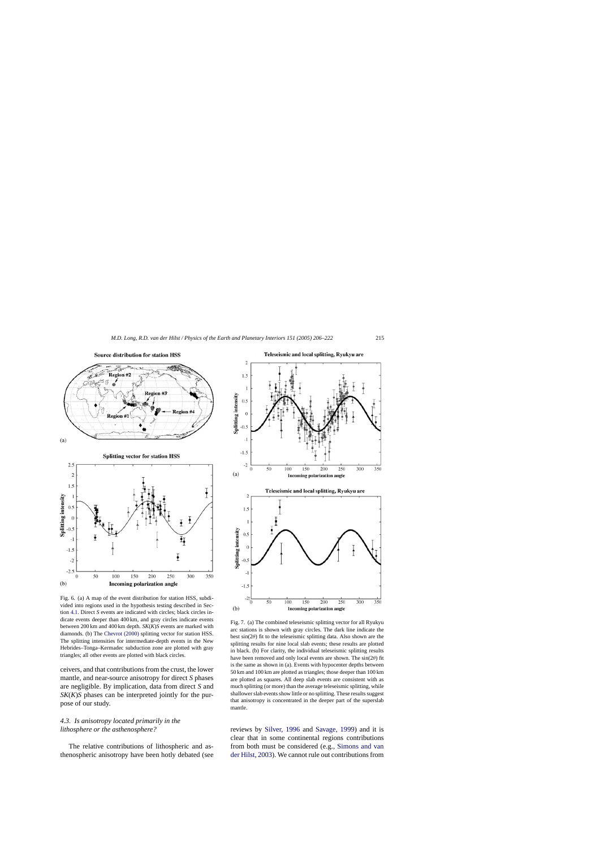<span id="page-9-0"></span>

Fig. 6. (a) A map of the event distribution for station HSS, subdivided into regions used in the hypothesis testing described in Section [4.1. D](#page-7-0)irect *S* events are indicated with circles; black circles indicate events deeper than 400 km, and gray circles indicate events between 200 km and 400 km depth. *SK*(*K*)*S* events are marked with diamonds. (b) The [Chevrot \(2000\)](#page-15-0) splitting vector for station HSS. The splitting intensities for intermediate-depth events in the New Hebrides–Tonga–Kermadec subduction zone are plotted with gray triangles; all other events are plotted with black circles.

150

200

**Incoming polarization angle** 

250

300

350

50

 $\overline{0}$ 

 $(b)$ 

100

ceivers, and that contributions from the crust, the lower mantle, and near-source anisotropy for direct *S* phases are negligible. By implication, data from direct *S* and *SK*(*K*)*S* phases can be interpreted jointly for the purpose of our study.

# *4.3. Is anisotropy located primarily in the lithosphere or the asthenosphere?*

The relative contributions of lithospheric and asthenospheric anisotropy have been hotly debated (see



Fig. 7. (a) The combined teleseismic splitting vector for all Ryukyu arc stations is shown with gray circles. The dark line indicate the best  $sin(2\theta)$  fit to the teleseismic splitting data. Also shown are the splitting results for nine local slab events; these results are plotted in black. (b) For clarity, the individual teleseismic splitting results have been removed and only local events are shown. The  $sin(2\theta)$  fit is the same as shown in (a). Events with hypocenter depths between 50 km and 100 km are plotted as triangles; those deeper than 100 km are plotted as squares. All deep slab events are consistent with as much splitting (or more) than the average teleseismic splitting, while shallower slab events show little or no splitting. These results suggest that anisotropy is concentrated in the deeper part of the superslab mantle.

reviews by [Silver, 1996](#page-16-0) and [Savage, 1999\)](#page-16-0) and it is clear that in some continental regions contributions from both must be considered (e.g., [Simons and van](#page-16-0) [der Hilst, 2003\).](#page-16-0) We cannot rule out contributions from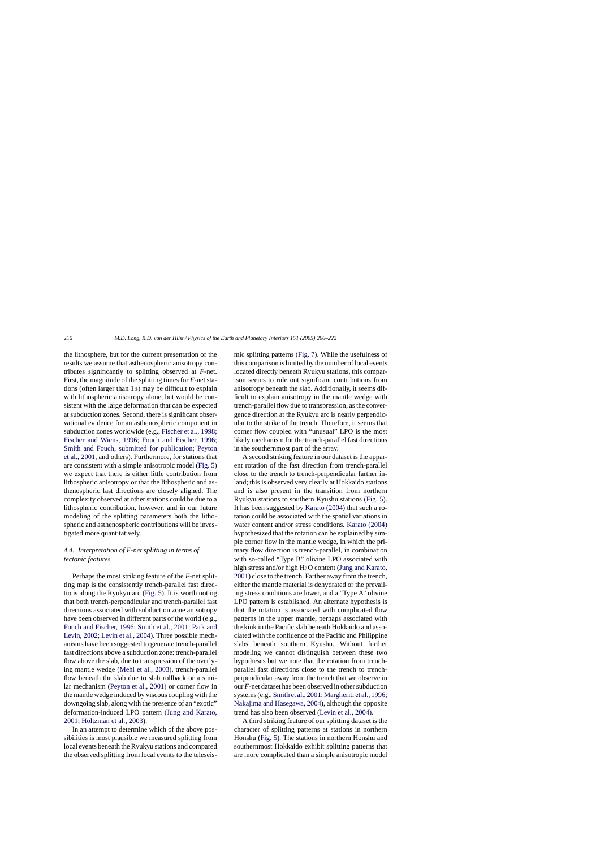the lithosphere, but for the current presentation of the results we assume that asthenospheric anisotropy contributes significantly to splitting observed at *F*-net. First, the magnitude of the splitting times for *F*-net stations (often larger than 1 s) may be difficult to explain with lithospheric anisotropy alone, but would be consistent with the large deformation that can be expected at subduction zones. Second, there is significant observational evidence for an asthenospheric component in subduction zones worldwide (e.g., [Fischer et al., 1998;](#page-15-0) [Fischer and Wiens, 1996; Fouch and Fischer, 1996;](#page-15-0) [Smith and Fouch, submitted for publication; Peyton](#page-15-0) [et al., 2001, a](#page-15-0)nd others). Furthermore, for stations that are consistent with a simple anisotropic model [\(Fig. 5\)](#page-6-0) we expect that there is either little contribution from lithospheric anisotropy or that the lithospheric and asthenospheric fast directions are closely aligned. The complexity observed at other stations could be due to a lithospheric contribution, however, and in our future modeling of the splitting parameters both the lithospheric and asthenospheric contributions will be investigated more quantitatively.

# *4.4. Interpretation of F-net splitting in terms of tectonic features*

Perhaps the most striking feature of the *F*-net splitting map is the consistently trench-parallel fast directions along the Ryukyu arc [\(Fig. 5\).](#page-6-0) It is worth noting that both trench-perpendicular and trench-parallel fast directions associated with subduction zone anisotropy have been observed in different parts of the world (e.g., [Fouch and Fischer, 1996; Smith et al., 2001; Park and](#page-15-0) [Levin, 2002; Levin et al., 2004\).](#page-15-0) Three possible mechanisms have been suggested to generate trench-parallel fast directions above a subduction zone: trench-parallel flow above the slab, due to transpression of the overlying mantle wedge [\(Mehl et al., 2003\)](#page-16-0), trench-parallel flow beneath the slab due to slab rollback or a similar mechanism ([Peyton et al., 2001\)](#page-16-0) or corner flow in the mantle wedge induced by viscous coupling with the downgoing slab, along with the presence of an "exotic" deformation-induced LPO pattern [\(Jung and Karato,](#page-15-0) [2001; Holtzman et al., 2003\).](#page-15-0)

In an attempt to determine which of the above possibilities is most plausible we measured splitting from local events beneath the Ryukyu stations and compared the observed splitting from local events to the teleseismic splitting patterns ([Fig. 7\).](#page-9-0) While the usefulness of this comparison is limited by the number of local events located directly beneath Ryukyu stations, this comparison seems to rule out significant contributions from anisotropy beneath the slab. Additionally, it seems difficult to explain anisotropy in the mantle wedge with trench-parallel flow due to transpression, as the convergence direction at the Ryukyu arc is nearly perpendicular to the strike of the trench. Therefore, it seems that corner flow coupled with "unusual" LPO is the most likely mechanism for the trench-parallel fast directions in the southernmost part of the array.

A second striking feature in our dataset is the apparent rotation of the fast direction from trench-parallel close to the trench to trench-perpendicular farther inland; this is observed very clearly at Hokkaido stations and is also present in the transition from northern Ryukyu stations to southern Kyushu stations [\(Fig. 5\).](#page-6-0) It has been suggested by [Karato \(2004\)](#page-15-0) that such a rotation could be associated with the spatial variations in water content and/or stress conditions. [Karato \(2004\)](#page-15-0) hypothesized that the rotation can be explained by simple corner flow in the mantle wedge, in which the primary flow direction is trench-parallel, in combination with so-called "Type B" olivine LPO associated with high stress and/or high  $H_2O$  content ([Jung and Karato,](#page-15-0) [2001\) c](#page-15-0)lose to the trench. Farther away from the trench, either the mantle material is dehydrated or the prevailing stress conditions are lower, and a "Type A" olivine LPO pattern is established. An alternate hypothesis is that the rotation is associated with complicated flow patterns in the upper mantle, perhaps associated with the kink in the Pacific slab beneath Hokkaido and associated with the confluence of the Pacific and Philippine slabs beneath southern Kyushu. Without further modeling we cannot distinguish between these two hypotheses but we note that the rotation from trenchparallel fast directions close to the trench to trenchperpendicular away from the trench that we observe in our *F*-net dataset has been observed in other subduction systems (e.g., [Smith et al., 2001; Margheriti et al., 1996;](#page-16-0) [Nakajima and Hasegawa, 2004\),](#page-16-0) although the opposite trend has also been observed ([Levin et al., 2004\).](#page-15-0)

A third striking feature of our splitting dataset is the character of splitting patterns at stations in northern Honshu ([Fig. 5\).](#page-6-0) The stations in northern Honshu and southernmost Hokkaido exhibit splitting patterns that are more complicated than a simple anisotropic model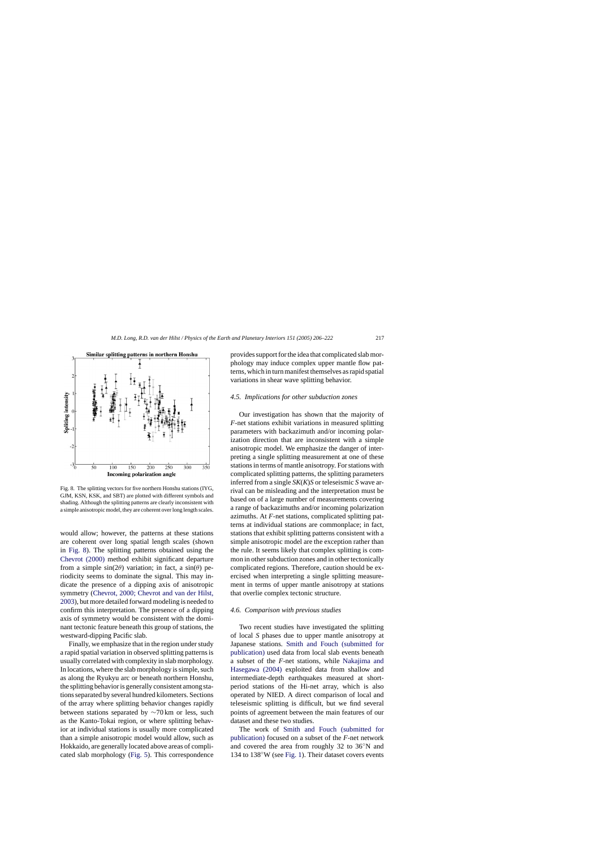### *4.5. Implications for other subduction zones*

Our investigation has shown that the majority of *F*-net stations exhibit variations in measured splitting parameters with backazimuth and/or incoming polarization direction that are inconsistent with a simple anisotropic model. We emphasize the danger of interpreting a single splitting measurement at one of these stations in terms of mantle anisotropy. For stations with complicated splitting patterns, the splitting parameters inferred from a single *SK*(*K*)*S* or teleseismic *S* wave arrival can be misleading and the interpretation must be based on of a large number of measurements covering a range of backazimuths and/or incoming polarization azimuths. At *F*-net stations, complicated splitting patterns at individual stations are commonplace; in fact, stations that exhibit splitting patterns consistent with a simple anisotropic model are the exception rather than the rule. It seems likely that complex splitting is common in other subduction zones and in other tectonically complicated regions. Therefore, caution should be exercised when interpreting a single splitting measurement in terms of upper mantle anisotropy at stations that overlie complex tectonic structure.

#### *4.6. Comparison with previous studies*

Two recent studies have investigated the splitting of local *S* phases due to upper mantle anisotropy at Japanese stations. [Smith and Fouch \(submitted fo](#page-16-0)r [publication\)](#page-16-0) used data from local slab events beneath a subset of the *F*-net stations, while [Nakajima and](#page-16-0) [Hasegawa \(2004\)](#page-16-0) exploited data from shallow and intermediate-depth earthquakes measured at shortperiod stations of the Hi-net array, which is also operated by NIED. A direct comparison of local and teleseismic splitting is difficult, but we find several points of agreement between the main features of our dataset and these two studies.

The work of [Smith and Fouch \(submitted f](#page-16-0)or [publication\)](#page-16-0) focused on a subset of the *F*-net network and covered the area from roughly 32 to 36◦N and 134 to 138◦W (see [Fig. 1\).](#page-2-0) Their dataset covers events

Fig. 8. The splitting vectors for five northern Honshu stations (IYG, GJM, KSN, KSK, and SBT) are plotted with different symbols and shading. Although the splitting patterns are clearly inconsistent with a simple anisotropic model, they are coherent over long length scales.

would allow; however, the patterns at these stations are coherent over long spatial length scales (shown in Fig. 8). The splitting patterns obtained using the [Chevrot \(2000\)](#page-15-0) method exhibit significant departure from a simple  $sin(2\theta)$  variation; in fact, a  $sin(\theta)$  periodicity seems to dominate the signal. This may indicate the presence of a dipping axis of anisotropic symmetry ([Chevrot, 2000; Chevrot and van der Hilst,](#page-15-0) [2003\),](#page-15-0) but more detailed forward modeling is needed to confirm this interpretation. The presence of a dipping axis of symmetry would be consistent with the dominant tectonic feature beneath this group of stations, the westward-dipping Pacific slab.

Finally, we emphasize that in the region under study a rapid spatial variation in observed splitting patterns is usually correlated with complexity in slab morphology. In locations, where the slab morphology is simple, such as along the Ryukyu arc or beneath northern Honshu, the splitting behavior is generally consistent among stations separated by several hundred kilometers. Sections of the array where splitting behavior changes rapidly between stations separated by ∼70 km or less, such as the Kanto-Tokai region, or where splitting behavior at individual stations is usually more complicated than a simple anisotropic model would allow, such as Hokkaido, are generally located above areas of complicated slab morphology [\(Fig. 5\).](#page-6-0) This correspondence

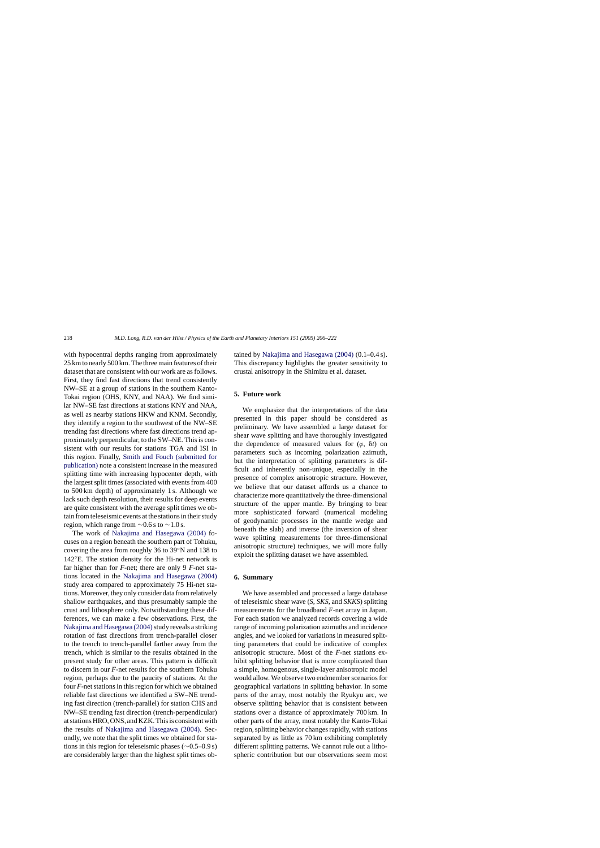with hypocentral depths ranging from approximately 25 km to nearly 500 km. The three main features of their dataset that are consistent with our work are as follows. First, they find fast directions that trend consistently NW–SE at a group of stations in the southern Kanto-Tokai region (OHS, KNY, and NAA). We find similar NW–SE fast directions at stations KNY and NAA, as well as nearby stations HKW and KNM. Secondly, they identify a region to the southwest of the NW–SE trending fast directions where fast directions trend approximately perpendicular, to the SW–NE. This is consistent with our results for stations TGA and ISI in this region. Finally, [Smith and Fouch \(submitted for](#page-16-0) [publication\)](#page-16-0) note a consistent increase in the measured splitting time with increasing hypocenter depth, with the largest split times (associated with events from 400 to 500 km depth) of approximately 1 s. Although we lack such depth resolution, their results for deep events are quite consistent with the average split times we obtain from teleseismic events at the stations in their study region, which range from  $\sim$ 0.6 s to  $\sim$ 1.0 s.

The work of [Nakajima and Hasegawa \(2004\)](#page-16-0) focuses on a region beneath the southern part of Tohuku, covering the area from roughly 36 to 39◦N and 138 to 142◦E. The station density for the Hi-net network is far higher than for *F*-net; there are only 9 *F*-net stations located in the [Nakajima and Hasegawa \(2004\)](#page-16-0) study area compared to approximately 75 Hi-net stations. Moreover, they only consider data from relatively shallow earthquakes, and thus presumably sample the crust and lithosphere only. Notwithstanding these differences, we can make a few observations. First, the Nakajima and Hasegawa (2004) study reveals a striking rotation of fast directions from trench-parallel closer to the trench to trench-parallel farther away from the trench, which is similar to the results obtained in the present study for other areas. This pattern is difficult to discern in our *F*-net results for the southern Tohuku region, perhaps due to the paucity of stations. At the four *F*-net stations in this region for which we obtained reliable fast directions we identified a SW–NE trending fast direction (trench-parallel) for station CHS and NW–SE trending fast direction (trench-perpendicular) at stations HRO, ONS, and KZK. This is consistent with the results of [Nakajima and Hasegawa \(2004\).](#page-16-0) Secondly, we note that the split times we obtained for stations in this region for teleseismic phases (∼0.5–0.9 s) are considerably larger than the highest split times obtained by [Nakajima and Hasegawa \(2004\)](#page-16-0) (0.1–0.4 s). This discrepancy highlights the greater sensitivity to crustal anisotropy in the Shimizu et al. dataset.

# **5. Future work**

We emphasize that the interpretations of the data presented in this paper should be considered as preliminary. We have assembled a large dataset for shear wave splitting and have thoroughly investigated the dependence of measured values for  $(\varphi, \delta t)$  on parameters such as incoming polarization azimuth, but the interpretation of splitting parameters is difficult and inherently non-unique, especially in the presence of complex anisotropic structure. However, we believe that our dataset affords us a chance to characterize more quantitatively the three-dimensional structure of the upper mantle. By bringing to bear more sophisticated forward (numerical modeling of geodynamic processes in the mantle wedge and beneath the slab) and inverse (the inversion of shear wave splitting measurements for three-dimensional anisotropic structure) techniques, we will more fully exploit the splitting dataset we have assembled.

### **6. Summary**

We have assembled and processed a large database of teleseismic shear wave (*S*, *SKS*, and *SKKS*) splitting measurements for the broadband *F*-net array in Japan. For each station we analyzed records covering a wide range of incoming polarization azimuths and incidence angles, and we looked for variations in measured splitting parameters that could be indicative of complex anisotropic structure. Most of the *F*-net stations exhibit splitting behavior that is more complicated than a simple, homogenous, single-layer anisotropic model would allow. We observe two endmember scenarios for geographical variations in splitting behavior. In some parts of the array, most notably the Ryukyu arc, we observe splitting behavior that is consistent between stations over a distance of approximately 700 km. In other parts of the array, most notably the Kanto-Tokai region, splitting behavior changes rapidly, with stations separated by as little as 70 km exhibiting completely different splitting patterns. We cannot rule out a lithospheric contribution but our observations seem most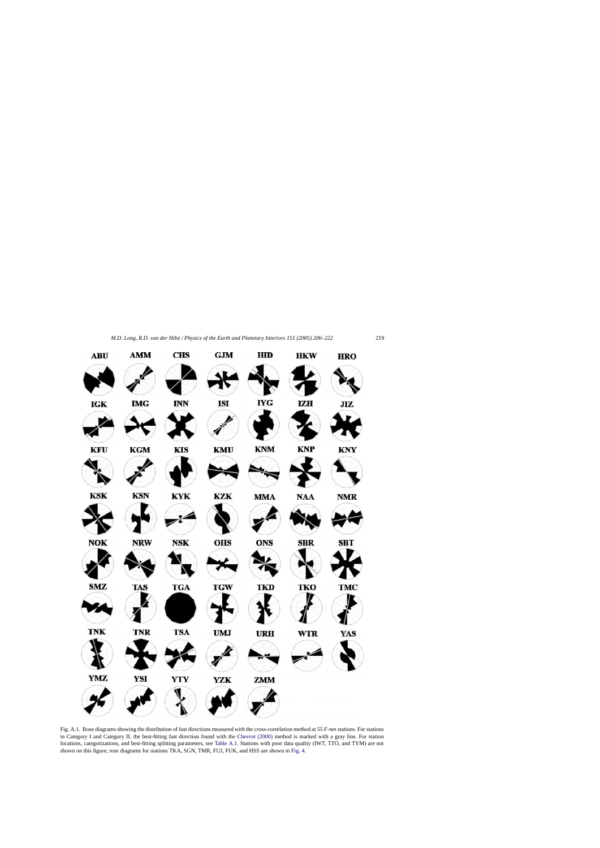<span id="page-13-0"></span>

Fig. A.1. Rose diagrams showing the distribution of fast directions measured with the cross-correlation method at 55 *F*-net stations. For stations in Category I and Category II, the best-fitting fast direction found with the [Chevrot \(2000\)](#page-15-0) method is marked with a gray line. For station locations, categorizations, and best-fitting splitting parameters, see [Table A.1. S](#page-14-0)tations with poor data quality (IWT, TTO, and TYM) are not shown on this figure; rose diagrams for stations TKA, SGN, TMR, FUJ, FUK, and HSS are shown in [Fig. 4.](#page-4-0)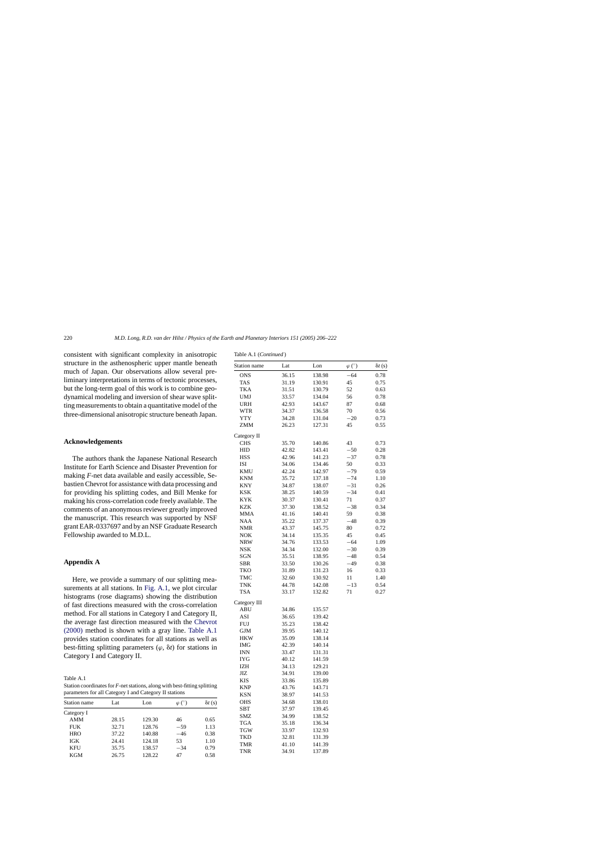Table A.1 (*Continued* )

<span id="page-14-0"></span>consistent with significant complexity in anisotropic structure in the asthenospheric upper mantle beneath much of Japan. Our observations allow several preliminary interpretations in terms of tectonic processes, but the long-term goal of this work is to combine geodynamical modeling and inversion of shear wave splitting measurements to obtain a quantitative model of the three-dimensional anisotropic structure beneath Japan.

### **Acknowledgements**

The authors thank the Japanese National Research Institute for Earth Science and Disaster Prevention for making *F*-net data available and easily accessible, Sebastien Chevrot for assistance with data processing and for providing his splitting codes, and Bill Menke for making his cross-correlation code freely available. The comments of an anonymous reviewer greatly improved the manuscript. This research was supported by NSF grant EAR-0337697 and by an NSF Graduate Research Fellowship awarded to M.D.L.

### **Appendix A**

Here, we provide a summary of our splitting mea-surements at all stations. In [Fig. A.1,](#page-13-0) we plot circular histograms (rose diagrams) showing the distribution of fast directions measured with the cross-correlation method. For all stations in Category I and Category II, the average fast direction measured with the [Chevrot](#page-15-0) [\(2000\)](#page-15-0) method is shown with a gray line. Table A.1 provides station coordinates for all stations as well as best-fitting splitting parameters  $(\varphi, \delta t)$  for stations in Category I and Category II.

Table A.1

| Station coordinates for $F$ -net stations, along with best-fitting splitting |  |
|------------------------------------------------------------------------------|--|
| parameters for all Category I and Category II stations                       |  |

| <b>Station</b> name | Lat   | Lon    | $\varphi$ (°) | $\delta t$ (s) |
|---------------------|-------|--------|---------------|----------------|
| Category I          |       |        |               |                |
| <b>AMM</b>          | 28.15 | 129.30 | 46            | 0.65           |
| <b>FUK</b>          | 32.71 | 128.76 | $-59$         | 1.13           |
| <b>HRO</b>          | 37.22 | 140.88 | $-46$         | 0.38           |
| IGK                 | 24.41 | 124.18 | 53            | 1.10           |
| <b>KFU</b>          | 35.75 | 138.57 | $-34$         | 0.79           |
| <b>KGM</b>          | 26.75 | 128.22 | 47            | 0.58           |

| Station name | Lat   | Lon    | $\varphi$ (°) | $\delta t$ (s) |
|--------------|-------|--------|---------------|----------------|
| <b>ONS</b>   | 36.15 | 138.98 | $-64$         | 0.78           |
| TAS          | 31.19 | 130.91 | 45            | 0.75           |
| TKA          | 31.51 | 130.79 | 52            | 0.63           |
| UMJ          | 33.57 | 134.04 | 56            | 0.78           |
| <b>URH</b>   | 42.93 | 143.67 | 87            | 0.68           |
| WTR          | 34.37 | 136.58 | 70            | 0.56           |
| <b>YTY</b>   | 34.28 | 131.04 | $-20$         | 0.73           |
| ZMM          | 26.23 | 127.31 | 45            | 0.55           |
| Category II  |       |        |               |                |
| <b>CHS</b>   | 35.70 | 140.86 | 43            | 0.73           |
| HID          | 42.82 | 143.41 | $-50$         | 0.28           |
| HSS          | 42.96 | 141.23 | $-37$         | 0.78           |
| ISI          | 34.06 | 134.46 | 50            | 0.33           |
| KMU          | 42.24 | 142.97 | $-79$         | 0.59           |
| <b>KNM</b>   | 35.72 | 137.18 | -74           | 1.10           |
| KNY          | 34.87 | 138.07 | $-31$         | 0.26           |
| KSK          | 38.25 | 140.59 | $-34$         | 0.41           |
| KYK          | 30.37 | 130.41 | 71            | 0.37           |
| KZK          | 37.30 | 138.52 | $-38$         | 0.34           |
| MMA          | 41.16 | 140.41 | 59            | 0.38           |
| NAA          | 35.22 | 137.37 | $-48$         | 0.39           |
| NMR          | 43.37 | 145.75 | 80            | 0.72           |
| NOK          | 34.14 | 135.35 | 45            | 0.45           |
| <b>NRW</b>   | 34.76 | 133.53 | $-64$         | 1.09           |
| NSK          | 34.34 | 132.00 | $-30$         | 0.39           |
| SGN          | 35.51 | 138.95 | $-48$         | 0.54           |
| SBR          | 33.50 | 130.26 | -49           | 0.38           |
| TKO          | 31.89 | 131.23 | 16            | 0.33           |
| TMC          | 32.60 | 130.92 | 11            | 1.40           |
| TNK          | 44.78 | 142.08 | $-13$         | 0.54           |
| TSA          | 33.17 | 132.82 | 71            | 0.27           |
| Category III |       |        |               |                |
| ABU          | 34.86 | 135.57 |               |                |
| ASI          | 36.65 | 139.42 |               |                |
| FUJ          | 35.23 | 138.42 |               |                |
| GJM          | 39.95 | 140.12 |               |                |
| HKW          | 35.09 | 138.14 |               |                |
| IMG          | 42.39 | 140.14 |               |                |
| INN          | 33.47 | 131.31 |               |                |
| IYG          | 40.12 | 141.59 |               |                |
| IZH          | 34.13 | 129.21 |               |                |
| JIZ.         | 34.91 | 139.00 |               |                |
| KIS          | 33.86 | 135.89 |               |                |
| KNP          | 43.76 | 143.71 |               |                |
| KSN          | 38.97 | 141.53 |               |                |
| OHS          | 34.68 | 138.01 |               |                |
| SBT          | 37.97 | 139.45 |               |                |
| SMZ          | 34.99 | 138.52 |               |                |
| <b>TGA</b>   | 35.18 | 136.34 |               |                |
| TGW          | 33.97 | 132.93 |               |                |
| TKD          | 32.81 | 131.39 |               |                |
| TMR          | 41.10 | 141.39 |               |                |
| TNR          | 34.91 | 137.89 |               |                |
|              |       |        |               |                |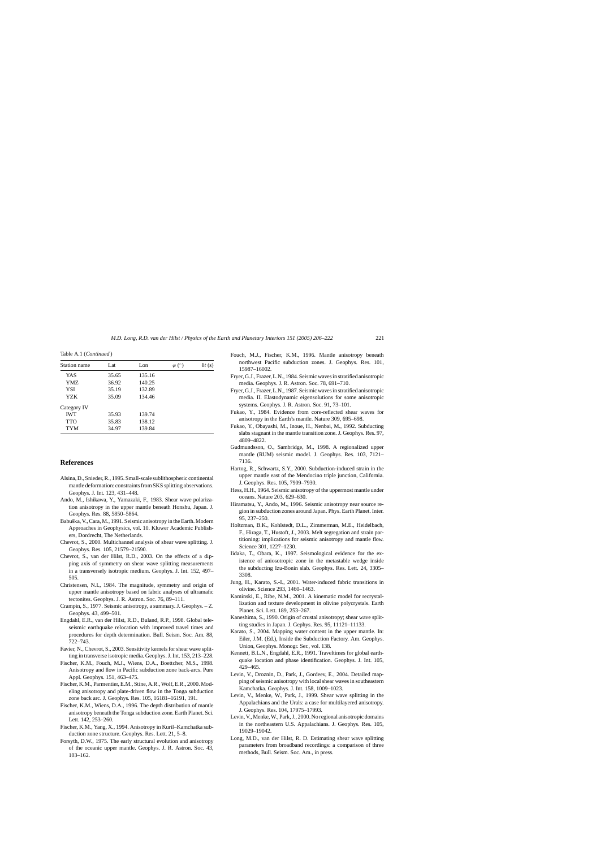<span id="page-15-0"></span>Table A.1 (*Continued* )

| Station name | Lat   | L <sub>on</sub> | $\varphi$ (°) | $\delta t$ (s) |
|--------------|-------|-----------------|---------------|----------------|
| <b>YAS</b>   | 35.65 | 135.16          |               |                |
| YMZ.         | 36.92 | 140.25          |               |                |
| <b>YSI</b>   | 35.19 | 132.89          |               |                |
| YZK          | 35.09 | 134.46          |               |                |
| Category IV  |       |                 |               |                |
| <b>IWT</b>   | 35.93 | 139.74          |               |                |
| <b>TTO</b>   | 35.83 | 138.12          |               |                |
| <b>TYM</b>   | 34.97 | 139.84          |               |                |

### **References**

- Alsina, D., Snieder, R., 1995. Small-scale sublithospheric continental mantle deformation: constraints from SKS splitting observations. Geophys. J. Int. 123, 431–448.
- Ando, M., Ishikawa, Y., Yamazaki, F., 1983. Shear wave polarization anisotropy in the upper mantle beneath Honshu, Japan. J. Geophys. Res. 88, 5850–5864.
- Babuška, V., Cara, M., 1991. Seismic anisotropy in the Earth. Modern Approaches in Geophysics, vol. 10. Kluwer Academic Publishers, Dordrecht, The Netherlands.
- Chevrot, S., 2000. Multichannel analysis of shear wave splitting. J. Geophys. Res. 105, 21579–21590.
- Chevrot, S., van der Hilst, R.D., 2003. On the effects of a dipping axis of symmetry on shear wave splitting measurements in a transversely isotropic medium. Geophys. J. Int. 152, 497– 505.
- Christensen, N.I., 1984. The magnitude, symmetry and origin of upper mantle anisotropy based on fabric analyses of ultramafic tectonites. Geophys. J. R. Astron. Soc. 76, 89–111.
- Crampin, S., 1977. Seismic anisotropy, a summary. J. Geophys. Z. Geophys. 43, 499–501.
- Engdahl, E.R., van der Hilst, R.D., Buland, R.P., 1998. Global teleseismic earthquake relocation with improved travel times and procedures for depth determination. Bull. Seism. Soc. Am. 88, 722–743.
- Favier, N., Chevrot, S., 2003. Sensitivity kernels for shear wave splitting in transverse isotropic media. Geophys. J. Int. 153, 213–228.
- Fischer, K.M., Fouch, M.J., Wiens, D.A., Boettcher, M.S., 1998. Anisotropy and flow in Pacific subduction zone back-arcs. Pure Appl. Geophys. 151, 463–475.
- Fischer, K.M., Parmentier, E.M., Stine, A.R., Wolf, E.R., 2000. Modeling anisotropy and plate-driven flow in the Tonga subduction zone back arc. J. Geophys. Res. 105, 16181–16191, 191.
- Fischer, K.M., Wiens, D.A., 1996. The depth distribution of mantle anisotropy beneath the Tonga subduction zone. Earth Planet. Sci. Lett. 142, 253–260.
- Fischer, K.M., Yang, X., 1994. Anisotropy in Kuril–Kamchatka subduction zone structure. Geophys. Res. Lett. 21, 5–8.
- Forsyth, D.W., 1975. The early structural evolution and anisotropy of the oceanic upper mantle. Geophys. J. R. Astron. Soc. 43, 103–162.
- Fouch, M.J., Fischer, K.M., 1996. Mantle anisotropy beneath northwest Pacific subduction zones. J. Geophys. Res. 101, 15987–16002.
- Fryer, G.J., Frazer, L.N., 1984. Seismic waves in stratified anisotropic media. Geophys. J. R. Astron. Soc. 78, 691–710.
- Fryer, G.J., Frazer, L.N., 1987. Seismic waves in stratified anisotropic media. II. Elastodynamic eigensolutions for some anisotropic systems. Geophys. J. R. Astron. Soc. 91, 73–101.
- Fukao, Y., 1984. Evidence from core-reflected shear waves for anisotropy in the Earth's mantle. Nature 309, 695–698.
- Fukao, Y., Obayashi, M., Inoue, H., Nenbai, M., 1992. Subducting slabs stagnant in the mantle transition zone. J. Geophys. Res. 97, 4809–4822.
- Gudmundsson, O., Sambridge, M., 1998. A regionalized upper mantle (RUM) seismic model. J. Geophys. Res. 103, 7121– 7136.
- Hartog, R., Schwartz, S.Y., 2000. Subduction-induced strain in the upper mantle east of the Mendocino triple junction, California. J. Geophys. Res. 105, 7909–7930.
- Hess, H.H., 1964. Seismic anisotropy of the uppermost mantle under oceans. Nature 203, 629–630.
- Hiramatsu, Y., Ando, M., 1996. Seismic anisotropy near source region in subduction zones around Japan. Phys. Earth Planet. Inter. 95, 237–250.
- Holtzman, B.K., Kohlstedt, D.L., Zimmerman, M.E., Heidelbach, F., Hiraga, T., Hustoft, J., 2003. Melt segregation and strain partitioning: implications for seismic anisotropy and mantle flow. Science 301, 1227–1230.
- Iidaka, T., Obara, K., 1997. Seismological evidence for the existence of aniosotropic zone in the metastable wedge inside the subducting Izu-Bonin slab. Geophys. Res. Lett. 24, 3305– 3308.
- Jung, H., Karato, S.-I., 2001. Water-induced fabric transitions in olivine. Science 293, 1460–1463.
- Kaminski, E., Ribe, N.M., 2001. A kinematic model for recrystallization and texture development in olivine polycrystals. Earth Planet. Sci. Lett. 189, 253–267.
- Kaneshima, S., 1990. Origin of crustal anisotropy; shear wave splitting studies in Japan. J. Gephys. Res. 95, 11121–11133.
- Karato, S., 2004. Mapping water content in the upper mantle. In: Eiler, J.M. (Ed.), Inside the Subduction Factory. Am. Geophys. Union, Geophys. Monogr. Ser., vol. 138.
- Kennett, B.L.N., Engdahl, E.R., 1991. Traveltimes for global earthquake location and phase identification. Geophys. J. Int. 105, 429–465.
- Levin, V., Droznin, D., Park, J., Gordeev, E., 2004. Detailed mapping of seismic anisotropy with local shear waves in southeastern Kamchatka. Geophys. J. Int. 158, 1009–1023.
- Levin, V., Menke, W., Park, J., 1999. Shear wave splitting in the Appalachians and the Urals: a case for multilayered anisotropy. J. Geophys. Res. 104, 17975–17993.
- Levin, V., Menke, W., Park, J., 2000. No regional anisotropic domains in the northeastern U.S. Appalachians. J. Geophys. Res. 105, 19029–19042.
- Long, M.D., van der Hilst, R. D. Estimating shear wave splitting parameters from broadband recordings: a comparison of three methods, Bull. Seism. Soc. Am., in press.